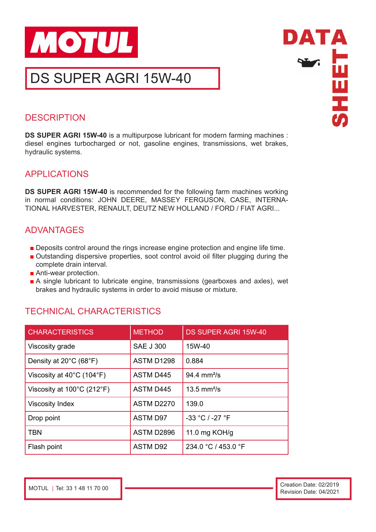

DS SUPER AGRI 15W-40



# **DESCRIPTION**

**DS SUPER AGRI 15W-40** is a multipurpose lubricant for modern farming machines : diesel engines turbocharged or not, gasoline engines, transmissions, wet brakes, hydraulic systems.

## APPLICATIONS

**DS SUPER AGRI 15W-40** is recommended for the following farm machines working in normal conditions: JOHN DEERE, MASSEY FERGUSON, CASE, INTERNA-TIONAL HARVESTER, RENAULT, DEUTZ NEW HOLLAND / FORD / FIAT AGRI...

# ADVANTAGES

- Deposits control around the rings increase engine protection and engine life time.
- Outstanding dispersive properties, soot control avoid oil filter plugging during the complete drain interval.
- Anti-wear protection.
- A single lubricant to lubricate engine, transmissions (gearboxes and axles), wet brakes and hydraulic systems in order to avoid misuse or mixture.

# TECHNICAL CHARACTERISTICS

| <b>CHARACTERISTICS</b>                         | <b>METHOD</b>     | <b>DS SUPER AGRI 15W-40</b>    |
|------------------------------------------------|-------------------|--------------------------------|
| Viscosity grade                                | <b>SAE J 300</b>  | 15W-40                         |
| Density at $20^{\circ}$ C (68 $^{\circ}$ F)    | ASTM D1298        | 0.884                          |
| Viscosity at $40^{\circ}$ C (104 $^{\circ}$ F) | <b>ASTM D445</b>  | $94.4 \, \text{mm}^2/\text{s}$ |
| Viscosity at 100°C (212°F)                     | <b>ASTM D445</b>  | $13.5$ mm <sup>2</sup> /s      |
| <b>Viscosity Index</b>                         | <b>ASTM D2270</b> | 139.0                          |
| Drop point                                     | <b>ASTM D97</b>   | -33 °C / -27 °F                |
| <b>TBN</b>                                     | ASTM D2896        | 11.0 mg KOH/g                  |
| Flash point                                    | <b>ASTM D92</b>   | 234.0 °C / 453.0 °F            |